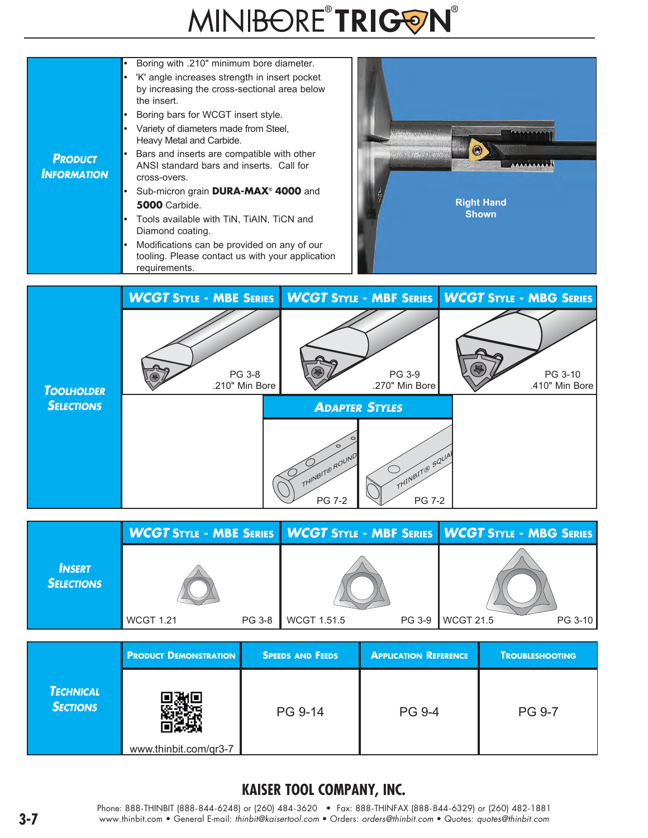# MINIBORE®TRIGON®





|                                    |                  |               |                    |        | WCGT STYLE - MBE SERIES   WCGT STYLE - MBF SERIES   WCGT STYLE - MBG SERIES |         |  |
|------------------------------------|------------------|---------------|--------------------|--------|-----------------------------------------------------------------------------|---------|--|
| <b>INSERT</b><br><b>SELECTIONS</b> | <b>WCGT 1.21</b> | <b>PG 3-8</b> | <b>WCGT 1.51.5</b> | PG 3-9 | <b>WCGT 21.5</b>                                                            | PG 3-10 |  |

|                                     | <b>PRODUCT DEMONSTRATION</b> | <b>SPEEDS AND FEEDS</b> | <b>APPLICATION REFERENCE</b> | <b>TROUBLESHOOTING</b> |
|-------------------------------------|------------------------------|-------------------------|------------------------------|------------------------|
| <b>TECHNICAL</b><br><b>SECTIONS</b> | www.thinbit.com/qr3-7        | PG 9-14                 | <b>PG 9-4</b>                | <b>PG 9-7</b>          |

### **KAISER TOOL COMPANY, INC.**

Phone: 888-THINBIT (888-844-6248) or (260) 484-3620 • Fax: 888-THINFAX (888-844-6329) or (260) 482-1881 **3-7** www.thinbit.com • General E-mail: *thinbit@kaisertool.com* • Orders: *orders@thinbit.com* • Quotes: *quotes@thinbit.com*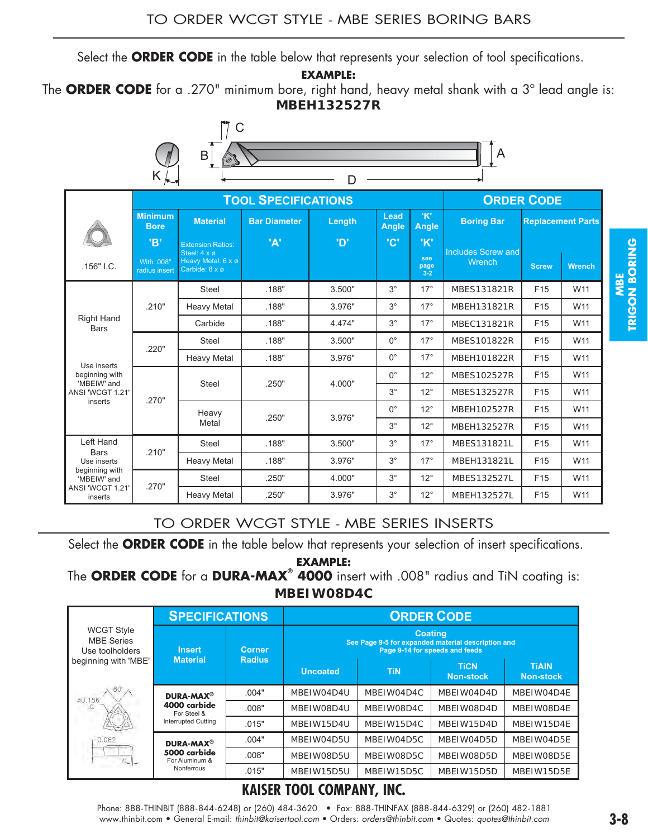Select the **ORDER CODE** in the table below that represents your selection of tool specifications.

**EXAMPLE:** 

The **ORDER CODE** for a .270" minimum bore, right hand, heavy metal shank with a 3º lead angle is: **MBEH132527R**



|                                                           |                                    | <b>TOOL SPECIFICATIONS</b>                                                       |                                                            |                               |                            |                              | <b>ORDER CODE</b>                                                                                                               |                                    |                          |  |
|-----------------------------------------------------------|------------------------------------|----------------------------------------------------------------------------------|------------------------------------------------------------|-------------------------------|----------------------------|------------------------------|---------------------------------------------------------------------------------------------------------------------------------|------------------------------------|--------------------------|--|
|                                                           | <b>Minimum</b><br><b>Bore</b>      |                                                                                  | <b>Bar Diameter</b>                                        | Length                        | Lead<br>Angle              | 'K'<br><b>Angle</b>          | <b>Boring Bar</b>                                                                                                               |                                    | <b>Replacement Parts</b> |  |
| .156" I.C.                                                | 'B'<br>With .008"<br>radius insert | <b>Extension Ratios:</b><br>Steel: 4 x ø<br>Heavy Metal: 6 x ø<br>Carbide: 8 x ø | 'A'                                                        | ים'                           | 'C'                        | 'K'<br>see<br>page           | <b>Includes Screw and</b><br><b>Wrench</b>                                                                                      | <b>Screw</b>                       | <b>Wrench</b>            |  |
|                                                           |                                    | <b>Steel</b>                                                                     | .188"                                                      | 3.500"                        | $3^{\circ}$                | $3 - 2$<br>$17^{\circ}$      | MBES131821R                                                                                                                     | F <sub>15</sub>                    | W11                      |  |
| Right Hand<br><b>Bars</b>                                 | .210"                              | <b>Heavy Metal</b>                                                               | .188"                                                      | 3.976"                        | $3^{\circ}$                | $17^\circ$                   | MBEH131821R                                                                                                                     | F <sub>15</sub>                    | W11                      |  |
|                                                           |                                    | Carbide                                                                          | .188"                                                      | 4.474"                        | $3^{\circ}$                | $17^\circ$                   | MBEC131821R                                                                                                                     | F <sub>15</sub>                    | W11                      |  |
|                                                           |                                    | <b>Steel</b>                                                                     | .188"                                                      | 3.500"                        | $0^{\circ}$                | $17^\circ$                   | MBES101822R                                                                                                                     | F <sub>15</sub>                    | W11                      |  |
|                                                           | .220"                              | <b>Heavy Metal</b>                                                               | .188"                                                      | 3.976"                        | $0^{\circ}$                | $17^\circ$                   | MBEH101822R                                                                                                                     | F <sub>15</sub>                    | W11                      |  |
| Use inserts<br>beginning with                             |                                    |                                                                                  |                                                            |                               | $0^{\circ}$                | $12^{\circ}$                 | MBES102527R                                                                                                                     | F <sub>15</sub>                    | W11                      |  |
| 'MBEIW' and<br>ANSI 'WCGT 1.21'                           |                                    | Steel                                                                            | .250"                                                      | 4.000"                        | $3^{\circ}$                | $12^{\circ}$                 | MBES132527R                                                                                                                     | F <sub>15</sub>                    | W11                      |  |
| inserts                                                   | .270"                              |                                                                                  |                                                            |                               | $0^{\circ}$                | $12^{\circ}$                 | MBEH102527R                                                                                                                     | F <sub>15</sub>                    | W11                      |  |
|                                                           |                                    | Heavy<br>Metal                                                                   | .250"                                                      | 3.976"                        | $3^\circ$                  | $12^{\circ}$                 | MBEH132527R                                                                                                                     | F <sub>15</sub>                    | W11                      |  |
| Left Hand                                                 |                                    | Steel                                                                            | .188"                                                      | 3.500"                        | $3^{\circ}$                | $17^\circ$                   | MBES131821L                                                                                                                     | F <sub>15</sub>                    | W11                      |  |
| <b>Bars</b><br>.210"                                      |                                    |                                                                                  | .188"                                                      | 3.976"                        | $3^{\circ}$                | $17^{\circ}$                 | MBEH131821L                                                                                                                     | F <sub>15</sub>                    | W11                      |  |
|                                                           |                                    |                                                                                  |                                                            |                               |                            |                              |                                                                                                                                 |                                    |                          |  |
| Use inserts<br>beginning with                             |                                    | <b>Heavy Metal</b>                                                               |                                                            |                               |                            |                              |                                                                                                                                 |                                    |                          |  |
| 'MBEIW' and<br>ANSI 'WCGT 1.21'<br>inserts                | .270"                              | <b>Steel</b><br><b>Heavy Metal</b>                                               | .250"<br>.250"<br>TO ORDER WCGT STYLE - MBE SERIES INSERTS | 4.000"<br>3.976"              | $3^{\circ}$<br>$3^{\circ}$ | $12^{\circ}$<br>$12^{\circ}$ | MBES132527L<br>MBEH132527L<br>Select the ORDER CODE in the table below that represents your selection of insert specifications. | F <sub>15</sub><br>F <sub>15</sub> | W11<br>W11               |  |
|                                                           |                                    |                                                                                  |                                                            | <b>EXAMPLE:</b><br>MBEIW08D4C |                            |                              | The ORDER CODE for a DURA-MAX <sup>®</sup> 4000 insert with .008" radius and TiN coating is:                                    |                                    |                          |  |
|                                                           |                                    | <b>SPECIFICATIONS</b>                                                            |                                                            |                               |                            | <b>ORDER CODE</b>            |                                                                                                                                 |                                    |                          |  |
| <b>WCGT Style</b><br><b>MBE Series</b><br>Use toolholders |                                    | <b>Insert</b>                                                                    | <b>Corner</b>                                              |                               |                            | <b>Coating</b>               | See Page 9-5 for expanded material description and<br>Page 9-14 for speeds and feeds                                            |                                    |                          |  |
|                                                           |                                    | <b>Material</b>                                                                  | <b>Radius</b>                                              | <b>Uncoated</b>               | <b>TiN</b>                 |                              | $\overline{\phantom{a}}$ TiCN $\overline{\phantom{a}}$<br><b>Non-stock</b>                                                      | <b>TIAIN</b><br><b>Non-stock</b>   |                          |  |
|                                                           |                                    | <b>DURA-MAX<sup>®</sup></b>                                                      | .004"                                                      | MBEIW04D4U                    | MBEIW04D4C                 |                              | MBEIW04D4D                                                                                                                      | MBEIW04D4E                         |                          |  |
|                                                           |                                    | 4000 carbide<br>For Steel &                                                      | .008"                                                      | MBEIW08D4U                    | MBEIW08D4C                 |                              | MBEIW08D4D                                                                                                                      | MBEIW08D4E                         |                          |  |
|                                                           |                                    | <b>Interrupted Cutting</b>                                                       | .015"                                                      | MBEIW15D4U                    | MBEIW15D4C                 |                              | MBEIW15D4D                                                                                                                      | MBEIW15D4E                         |                          |  |
| @D.156<br>LC                                              |                                    | <b>DURA-MAX<sup>®</sup></b>                                                      | .004"                                                      | MBEIW04D5U                    | MBEIW04D5C                 |                              | MBEIW04D5D                                                                                                                      | MBEIW04D5E                         |                          |  |
| beginning with 'MBE'                                      |                                    | 5000 carbide<br>For Aluminum &<br>Nonferrous                                     | .008"<br>.015"                                             | MBEIW08D5U<br>MBEIW15D5U      | MBEIW08D5C<br>MBEIW15D5C   |                              | MBEIW08D5D<br>MBEIW15D5D                                                                                                        | MBEIW08D5E<br>MBEIW15D5E           |                          |  |

#### TO ORDER WCGT STYLE - MBE SERIES INSERTS

|                                                           | <b>SPECIFICATIONS</b>          |                                | <b>ORDER CODE</b>                                                                                      |            |                                 |                                  |  |  |
|-----------------------------------------------------------|--------------------------------|--------------------------------|--------------------------------------------------------------------------------------------------------|------------|---------------------------------|----------------------------------|--|--|
| <b>WCGT Style</b><br><b>MBE</b> Series<br>Use toolholders | <b>Insert</b>                  | <b>Corner</b><br><b>Radius</b> | <b>Coating</b><br>See Page 9-5 for expanded material description and<br>Page 9-14 for speeds and feeds |            |                                 |                                  |  |  |
| beginning with 'MBE'                                      | <b>Material</b>                |                                | <b>Uncoated</b>                                                                                        | <b>TIN</b> | <b>TiCN</b><br><b>Non-stock</b> | <b>TiAIN</b><br><b>Non-stock</b> |  |  |
| 00.156                                                    | DURA-MAX <sup>®</sup>          | .004"                          | MBEIW04D4U                                                                                             | MBEIW04D4C | MBEIW04D4D                      | MBEIW04D4E                       |  |  |
|                                                           | 4000 carbide<br>For Steel &    | .008"                          | MBEIW08D4U                                                                                             | MBEIW08D4C | MBEIW08D4D                      | MBEIW08D4E                       |  |  |
|                                                           | <b>Interrupted Cutting</b>     | .015"                          | MBEIW15D4U                                                                                             | MBEIW15D4C | MBEIW15D4D                      | MBEIW15D4E                       |  |  |
| $-0.062$                                                  | DURA-MAX <sup>®</sup>          | .004"                          | MBEIW04D5U                                                                                             | MBEIW04D5C | MBEIW04D5D                      | MBEIW04D5E                       |  |  |
|                                                           | 5000 carbide<br>For Aluminum & | .008"                          | MBEIW08D5U                                                                                             | MBEIW08D5C | MBEIW08D5D                      | MBEIW08D5E                       |  |  |
|                                                           | Nonferrous                     | .015"                          | MBEIW15D5U                                                                                             | MBEIW15D5C | MBEIW15D5D                      | MBEIW15D5E                       |  |  |

## **KAISER TOOL COMPANY, INC.**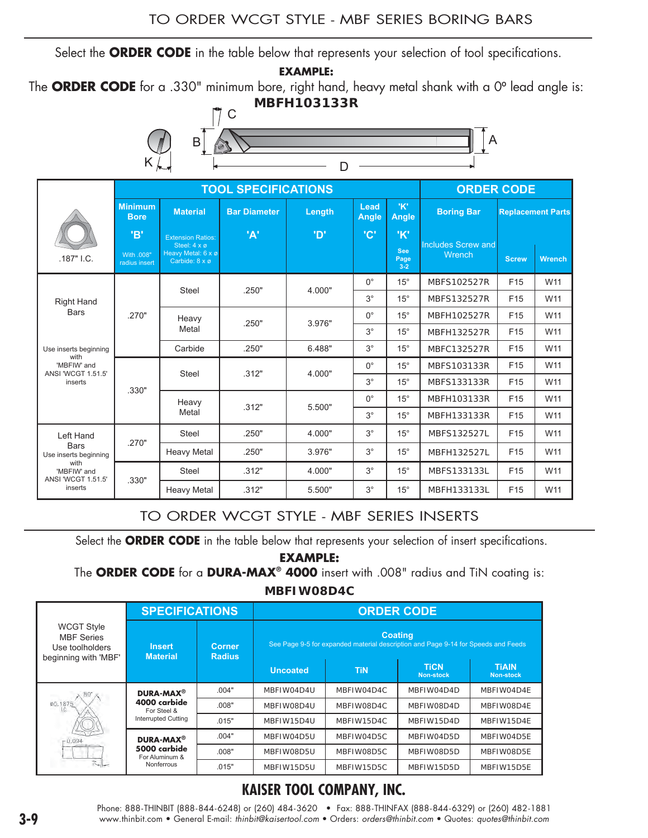Select the **ORDER CODE** in the table below that represents your selection of tool specifications.

**EXAMPLE:** 

The ORDER CODE for a .330" minimum bore, right hand, heavy metal shank with a 0° lead angle is:

**MBFH103133R**



|                                           |                                    | <b>TOOL SPECIFICATIONS</b>                                                       |                     | <b>ORDER CODE</b> |               |                                    |                                            |                 |                          |  |
|-------------------------------------------|------------------------------------|----------------------------------------------------------------------------------|---------------------|-------------------|---------------|------------------------------------|--------------------------------------------|-----------------|--------------------------|--|
|                                           | <b>Minimum</b><br><b>Bore</b>      | <b>Material</b>                                                                  | <b>Bar Diameter</b> | Length            | Lead<br>Angle | 'K'<br><b>Angle</b>                | <b>Boring Bar</b>                          |                 | <b>Replacement Parts</b> |  |
| .187" I.C.                                | 'B'<br>With .008"<br>radius insert | <b>Extension Ratios:</b><br>Steel: 4 x ø<br>Heavy Metal: 6 x ø<br>Carbide: 8 x ø | 'A'                 | <b>'D'</b>        | $^{\circ}$ C' | 'K'<br><b>See</b><br>Page<br>$3-2$ | <b>Includes Screw and</b><br><b>Wrench</b> | <b>Screw</b>    | <b>Wrench</b>            |  |
|                                           |                                    | Steel                                                                            | .250"               | 4.000"            | $0^{\circ}$   | $15^{\circ}$                       | MBFS102527R                                | F <sub>15</sub> | W11                      |  |
| <b>Right Hand</b>                         |                                    |                                                                                  |                     |                   | $3^{\circ}$   | $15^{\circ}$                       | MBFS132527R                                | F <sub>15</sub> | W11                      |  |
| <b>Bars</b>                               | .270"                              | Heavy                                                                            | .250"               | 3.976"            | $0^{\circ}$   | $15^{\circ}$                       | MBFH102527R                                | F <sub>15</sub> | W11                      |  |
|                                           |                                    | Metal                                                                            |                     |                   | $3^{\circ}$   | $15^{\circ}$                       | MBFH132527R                                | F <sub>15</sub> | W11                      |  |
| Use inserts beginning<br>with             |                                    | Carbide                                                                          | .250"               | 6.488"            | $3^\circ$     | $15^{\circ}$                       | MBFC132527R                                | F <sub>15</sub> | W11                      |  |
| 'MBFIW' and<br>ANSI 'WCGT 1.51.5'         |                                    | Steel                                                                            | .312"               | 4.000"            | $0^{\circ}$   | $15^{\circ}$                       | MBFS103133R                                | F <sub>15</sub> | W11                      |  |
| inserts                                   | .330"                              |                                                                                  |                     |                   | $3^{\circ}$   | $15^{\circ}$                       | MBFS133133R                                | F <sub>15</sub> | W11                      |  |
|                                           |                                    | Heavy                                                                            | .312"               | 5.500"            | $0^{\circ}$   | $15^{\circ}$                       | MBFH103133R                                | F <sub>15</sub> | W11                      |  |
|                                           |                                    | Metal                                                                            |                     |                   | $3^{\circ}$   | $15^{\circ}$                       | MBFH133133R                                | F <sub>15</sub> | W11                      |  |
| Left Hand                                 | .270"                              | Steel                                                                            | .250"               | 4.000"            | $3^{\circ}$   | $15^{\circ}$                       | MBFS132527L                                | F <sub>15</sub> | W11                      |  |
| <b>Bars</b><br>Use inserts beginning      |                                    | <b>Heavy Metal</b>                                                               | .250"               | 3.976"            | $3^{\circ}$   | $15^{\circ}$                       | MBFH132527L                                | F <sub>15</sub> | W11                      |  |
| with<br>'MBFIW' and<br>ANSI 'WCGT 1.51.5' | .330"                              | <b>Steel</b>                                                                     | .312"               | 4.000"            | $3^{\circ}$   | $15^{\circ}$                       | MBFS133133L                                | F <sub>15</sub> | W11                      |  |
| inserts                                   |                                    | <b>Heavy Metal</b>                                                               | .312"               | 5.500"            | $3^\circ$     | $15^{\circ}$                       | MBFH133133L                                | F <sub>15</sub> | W11                      |  |

#### TO ORDER WCGT STYLE - MBF SERIES INSERTS

Select the **ORDER CODE** in the table below that represents your selection of insert specifications.

**EXAMPLE:** 

The **ORDER CODE** for a **DURA-MAX® 4000** insert with .008" radius and TiN coating is:

**MBFIW08D4C**

|                                                                                   | <b>SPECIFICATIONS</b>                                                              |                                | <b>ORDER CODE</b>                                                                                   |            |                                 |                                  |  |  |
|-----------------------------------------------------------------------------------|------------------------------------------------------------------------------------|--------------------------------|-----------------------------------------------------------------------------------------------------|------------|---------------------------------|----------------------------------|--|--|
| <b>WCGT Style</b><br><b>MBF</b> Series<br>Use toolholders<br>beginning with 'MBF' | <b>Insert</b><br><b>Material</b>                                                   | <b>Corner</b><br><b>Radius</b> | <b>Coating</b><br>See Page 9-5 for expanded material description and Page 9-14 for Speeds and Feeds |            |                                 |                                  |  |  |
|                                                                                   |                                                                                    |                                | <b>Uncoated</b>                                                                                     | <b>TiN</b> | <b>TiCN</b><br><b>Non-stock</b> | <b>TIAIN</b><br><b>Non-stock</b> |  |  |
|                                                                                   | DURA-MAX <sup>®</sup><br>4000 carbide<br>For Steel &<br><b>Interrupted Cutting</b> | .004"                          | MBFIW04D4U                                                                                          | MBFIW04D4C | MBFIW04D4D                      | MBFIW04D4E                       |  |  |
| 00.1875                                                                           |                                                                                    | .008"                          | MBFIW08D4U                                                                                          | MBFIW08D4C | MBFIW08D4D                      | MBFIW08D4E                       |  |  |
|                                                                                   |                                                                                    | .015"                          | MBFIW15D4U                                                                                          | MBFIW15D4C | MBFIW15D4D                      | MBFIW15D4E                       |  |  |
| $-0.094$                                                                          | DURA-MAX <sup>®</sup><br>5000 carbide<br>For Aluminum &                            | .004"                          | MBFIW04D5U                                                                                          | MBFIW04D5C | MBFIW04D5D                      | MBFIW04D5E                       |  |  |
|                                                                                   |                                                                                    | .008"                          | MBFIW08D5U                                                                                          | MBFIW08D5C | MBFIW08D5D                      | MBFIW08D5E                       |  |  |
|                                                                                   | Nonferrous                                                                         | .015"                          | MBFIW15D5U                                                                                          | MBFIW15D5C | MBFIW15D5D                      | MBFIW15D5E                       |  |  |

## **KAISER TOOL COMPANY, INC.**

Phone: 888-THINBIT (888-844-6248) or (260) 484-3620 • Fax: 888-THINFAX (888-844-6329) or (260) 482-1881 **3-9** www.thinbit.com • General E-mail: *thinbit@kaisertool.com* • Orders: *orders@thinbit.com* • Quotes: *quotes@thinbit.com*